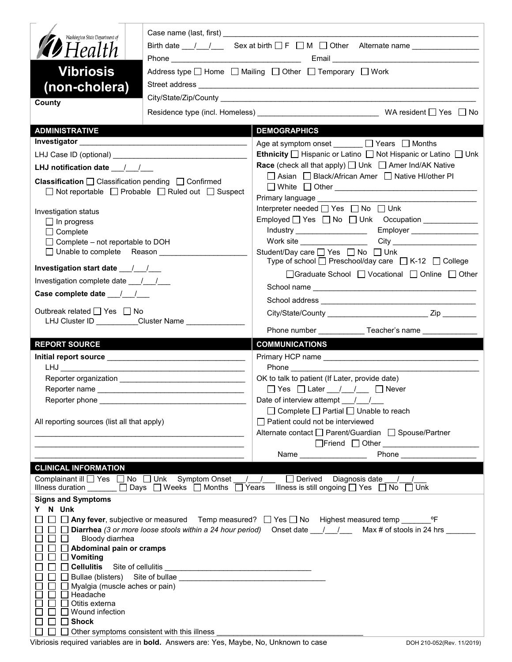| Washington State Department of                                                    |                                                                                                   |                                                                                                                                                                                                                                    |  |  |  |  |
|-----------------------------------------------------------------------------------|---------------------------------------------------------------------------------------------------|------------------------------------------------------------------------------------------------------------------------------------------------------------------------------------------------------------------------------------|--|--|--|--|
| <b>12</b> Health                                                                  | Birth date $\frac{1}{\sqrt{2}}$ Sex at birth $\Box$ F $\Box$ M $\Box$ Other Alternate name $\Box$ |                                                                                                                                                                                                                                    |  |  |  |  |
| <b>Vibriosis</b>                                                                  |                                                                                                   | Address type □ Home □ Mailing □ Other □ Temporary □ Work                                                                                                                                                                           |  |  |  |  |
| (non-cholera)                                                                     |                                                                                                   |                                                                                                                                                                                                                                    |  |  |  |  |
| County                                                                            |                                                                                                   |                                                                                                                                                                                                                                    |  |  |  |  |
|                                                                                   |                                                                                                   |                                                                                                                                                                                                                                    |  |  |  |  |
| <b>ADMINISTRATIVE</b>                                                             |                                                                                                   | <b>DEMOGRAPHICS</b>                                                                                                                                                                                                                |  |  |  |  |
|                                                                                   |                                                                                                   | Age at symptom onset $\Box$ Years $\Box$ Months<br>Ethnicity □ Hispanic or Latino □ Not Hispanic or Latino □ Unk                                                                                                                   |  |  |  |  |
| LHJ notification date $\frac{1}{2}$                                               |                                                                                                   | <b>Race</b> (check all that apply) □ Unk □ Amer Ind/AK Native                                                                                                                                                                      |  |  |  |  |
| Classification □ Classification pending □ Confirmed                               |                                                                                                   | □ Asian □ Black/African Amer □ Native HI/other PI                                                                                                                                                                                  |  |  |  |  |
|                                                                                   | $\Box$ Not reportable $\Box$ Probable $\Box$ Ruled out $\Box$ Suspect                             |                                                                                                                                                                                                                                    |  |  |  |  |
|                                                                                   |                                                                                                   |                                                                                                                                                                                                                                    |  |  |  |  |
| Investigation status                                                              |                                                                                                   | Interpreter needed $\Box$ Yes $\Box$ No $\Box$ Unk                                                                                                                                                                                 |  |  |  |  |
| $\Box$ In progress                                                                |                                                                                                   | Employed   Yes   No   Unk Occupation   _____________                                                                                                                                                                               |  |  |  |  |
| $\Box$ Complete                                                                   |                                                                                                   |                                                                                                                                                                                                                                    |  |  |  |  |
| $\Box$ Complete – not reportable to DOH<br>□ Unable to complete Reason            |                                                                                                   | Student/Day care <sup>1</sup> Yes <sup>1</sup> No <sup>1</sup> Unk                                                                                                                                                                 |  |  |  |  |
|                                                                                   |                                                                                                   | Type of school $\Box$ Preschool/day care $\Box$ K-12 $\Box$ College                                                                                                                                                                |  |  |  |  |
| Investigation start date 11.1                                                     |                                                                                                   | □Graduate School □ Vocational □ Online □ Other                                                                                                                                                                                     |  |  |  |  |
| Investigation complete date ___/___/___                                           |                                                                                                   |                                                                                                                                                                                                                                    |  |  |  |  |
| Case complete date __/_/__/                                                       |                                                                                                   |                                                                                                                                                                                                                                    |  |  |  |  |
| Outbreak related □ Yes □ No<br>LHJ Cluster ID _________Cluster Name _____________ |                                                                                                   |                                                                                                                                                                                                                                    |  |  |  |  |
|                                                                                   |                                                                                                   | Phone number _____________Teacher's name ______________                                                                                                                                                                            |  |  |  |  |
| <b>REPORT SOURCE</b>                                                              |                                                                                                   | <b>COMMUNICATIONS</b>                                                                                                                                                                                                              |  |  |  |  |
|                                                                                   |                                                                                                   |                                                                                                                                                                                                                                    |  |  |  |  |
|                                                                                   |                                                                                                   |                                                                                                                                                                                                                                    |  |  |  |  |
|                                                                                   |                                                                                                   |                                                                                                                                                                                                                                    |  |  |  |  |
|                                                                                   |                                                                                                   | OK to talk to patient (If Later, provide date)                                                                                                                                                                                     |  |  |  |  |
|                                                                                   | Reporter name                                                                                     | □ Yes □ Later / / / □ Never                                                                                                                                                                                                        |  |  |  |  |
|                                                                                   |                                                                                                   | Date of interview attempt $\frac{1}{\sqrt{2}}$                                                                                                                                                                                     |  |  |  |  |
|                                                                                   |                                                                                                   | $\Box$ Complete $\Box$ Partial $\Box$ Unable to reach                                                                                                                                                                              |  |  |  |  |
| All reporting sources (list all that apply)                                       |                                                                                                   | Patient could not be interviewed                                                                                                                                                                                                   |  |  |  |  |
|                                                                                   |                                                                                                   | Alternate contact □ Parent/Guardian □ Spouse/Partner                                                                                                                                                                               |  |  |  |  |
|                                                                                   |                                                                                                   | <b>Phone Contract Contract Contract Contract Contract Contract Contract Contract Contract Contract Contract Contract Contract Contract Contract Contract Contract Contract Contract Contract Contract Contract Contract Contra</b> |  |  |  |  |
| <b>CLINICAL INFORMATION</b>                                                       |                                                                                                   |                                                                                                                                                                                                                                    |  |  |  |  |
| Complainant ill <sub>D</sub> Yes D No D Unk Symptom Onset                         |                                                                                                   | / / □ Derived Diagnosis date / /                                                                                                                                                                                                   |  |  |  |  |
|                                                                                   | Illness duration ______ □ Days □ Weeks □ Months □ Years                                           | Illness is still ongoing $\Box$ Yes $\Box$ No $\Box$ Unk                                                                                                                                                                           |  |  |  |  |
| <b>Signs and Symptoms</b>                                                         |                                                                                                   |                                                                                                                                                                                                                                    |  |  |  |  |
| Y N Unk                                                                           |                                                                                                   | □ △ Any fever, subjective or measured Temp measured? □ Yes □ No Highest measured temp ________ °F                                                                                                                                  |  |  |  |  |
|                                                                                   |                                                                                                   | □ Diarrhea (3 or more loose stools within a 24 hour period) Onset date 1 1 Max # of stools in 24 hrs                                                                                                                               |  |  |  |  |
| Bloody diarrhea                                                                   |                                                                                                   |                                                                                                                                                                                                                                    |  |  |  |  |
| $\Box$ Abdominal pain or cramps                                                   |                                                                                                   |                                                                                                                                                                                                                                    |  |  |  |  |
| $\Box$ Vomiting                                                                   |                                                                                                   |                                                                                                                                                                                                                                    |  |  |  |  |
|                                                                                   | Bullae (blisters) Site of bullae                                                                  |                                                                                                                                                                                                                                    |  |  |  |  |
| Myalgia (muscle aches or pain)                                                    |                                                                                                   |                                                                                                                                                                                                                                    |  |  |  |  |
| Headache<br>Otitis externa                                                        |                                                                                                   |                                                                                                                                                                                                                                    |  |  |  |  |
| Wound infection                                                                   |                                                                                                   |                                                                                                                                                                                                                                    |  |  |  |  |
| <b>Shock</b><br>$\Box$ Other symptoms consistent with this illness                |                                                                                                   |                                                                                                                                                                                                                                    |  |  |  |  |

| Vibriosis required variables are in <b>bold.</b> Answers are: Yes, Maybe, No, Unknown to case |  |  |  |
|-----------------------------------------------------------------------------------------------|--|--|--|
|                                                                                               |  |  |  |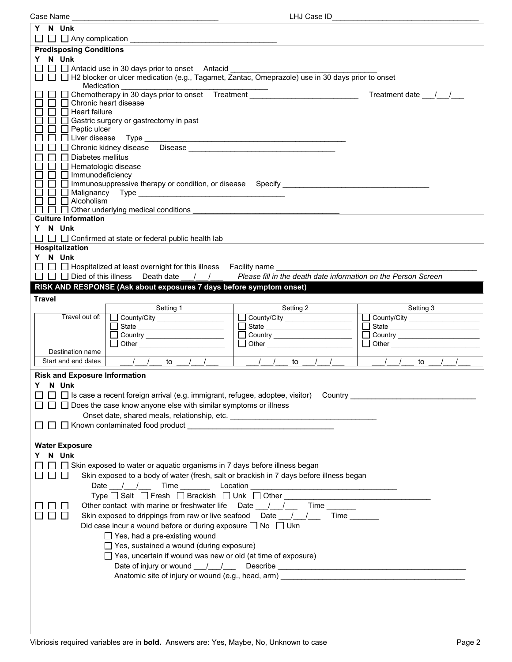| Case Name                                                                                                      | LHJ Case ID                                                                                                    |                                                                        |  |  |  |  |  |  |
|----------------------------------------------------------------------------------------------------------------|----------------------------------------------------------------------------------------------------------------|------------------------------------------------------------------------|--|--|--|--|--|--|
| Y N Unk                                                                                                        |                                                                                                                |                                                                        |  |  |  |  |  |  |
|                                                                                                                |                                                                                                                |                                                                        |  |  |  |  |  |  |
| <b>Predisposing Conditions</b>                                                                                 |                                                                                                                |                                                                        |  |  |  |  |  |  |
| Y N Unk                                                                                                        |                                                                                                                |                                                                        |  |  |  |  |  |  |
| $\Box$ Antacid use in 30 days prior to onset Antacid                                                           |                                                                                                                |                                                                        |  |  |  |  |  |  |
| Medication                                                                                                     | $\Box$ $\Box$ H2 blocker or ulcer medication (e.g., Tagamet, Zantac, Omeprazole) use in 30 days prior to onset |                                                                        |  |  |  |  |  |  |
|                                                                                                                |                                                                                                                | Treatment date 1.                                                      |  |  |  |  |  |  |
| □ Chronic heart disease                                                                                        | Chemotherapy in 30 days prior to onset Treatment _______________________________                               |                                                                        |  |  |  |  |  |  |
| $\Box$ Heart failure                                                                                           |                                                                                                                |                                                                        |  |  |  |  |  |  |
| Gastric surgery or gastrectomy in past                                                                         |                                                                                                                |                                                                        |  |  |  |  |  |  |
| $\Box$ Peptic ulcer                                                                                            |                                                                                                                |                                                                        |  |  |  |  |  |  |
|                                                                                                                |                                                                                                                |                                                                        |  |  |  |  |  |  |
| Chronic kidney disease Disease Manuscript Chronic Chronic Library of Chronic Chronic Chronic Chronic Chronic C |                                                                                                                |                                                                        |  |  |  |  |  |  |
| $\Box$ Diabetes mellitus                                                                                       |                                                                                                                |                                                                        |  |  |  |  |  |  |
| $\Box$ Hematologic disease                                                                                     |                                                                                                                |                                                                        |  |  |  |  |  |  |
| □ □ Immunodeficiency                                                                                           |                                                                                                                |                                                                        |  |  |  |  |  |  |
|                                                                                                                |                                                                                                                |                                                                        |  |  |  |  |  |  |
| $\Box$                                                                                                         |                                                                                                                |                                                                        |  |  |  |  |  |  |
| $\Box$ Alcoholism                                                                                              |                                                                                                                |                                                                        |  |  |  |  |  |  |
| $\Box$ Other underlying medical conditions                                                                     |                                                                                                                |                                                                        |  |  |  |  |  |  |
| <b>Culture Information</b>                                                                                     |                                                                                                                |                                                                        |  |  |  |  |  |  |
| Y N Unk                                                                                                        |                                                                                                                |                                                                        |  |  |  |  |  |  |
| $\Box$ $\Box$ $\Box$ Confirmed at state or federal public health lab                                           |                                                                                                                |                                                                        |  |  |  |  |  |  |
| Hospitalization                                                                                                |                                                                                                                |                                                                        |  |  |  |  |  |  |
| Y N Unk                                                                                                        |                                                                                                                |                                                                        |  |  |  |  |  |  |
| $\Box$ $\Box$ Hospitalized at least overnight for this illness Facility name                                   |                                                                                                                |                                                                        |  |  |  |  |  |  |
| $\Box$ $\Box$ Died of this illness Death date / /                                                              | Please fill in the death date information on the Person Screen                                                 |                                                                        |  |  |  |  |  |  |
| RISK AND RESPONSE (Ask about exposures 7 days before symptom onset)                                            |                                                                                                                |                                                                        |  |  |  |  |  |  |
| <b>Travel</b>                                                                                                  |                                                                                                                |                                                                        |  |  |  |  |  |  |
| Setting 1                                                                                                      | Setting 2                                                                                                      | Setting 3                                                              |  |  |  |  |  |  |
| Travel out of:<br>County/City                                                                                  | County/City ______________________                                                                             | County/City                                                            |  |  |  |  |  |  |
|                                                                                                                | State ___________________________                                                                              | $\Box$                                                                 |  |  |  |  |  |  |
| Country ________________________                                                                               | □ Country <u>____________________</u>                                                                          | □ Country <u>____________________</u>                                  |  |  |  |  |  |  |
| Other                                                                                                          | Other                                                                                                          | Other                                                                  |  |  |  |  |  |  |
| Destination name                                                                                               |                                                                                                                |                                                                        |  |  |  |  |  |  |
| Start and end dates<br>$\frac{1}{2}$<br>to                                                                     | to                                                                                                             | to                                                                     |  |  |  |  |  |  |
| <b>Risk and Exposure Information</b>                                                                           |                                                                                                                |                                                                        |  |  |  |  |  |  |
|                                                                                                                |                                                                                                                |                                                                        |  |  |  |  |  |  |
| Y.<br>N Unk                                                                                                    |                                                                                                                |                                                                        |  |  |  |  |  |  |
| $\Box$ Is case a recent foreign arrival (e.g. immigrant, refugee, adoptee, visitor) Country                    |                                                                                                                |                                                                        |  |  |  |  |  |  |
|                                                                                                                |                                                                                                                | $\Box$ Does the case know anyone else with similar symptoms or illness |  |  |  |  |  |  |
|                                                                                                                |                                                                                                                |                                                                        |  |  |  |  |  |  |
| Onset date, shared meals, relationship, etc. ___________________________________                               |                                                                                                                |                                                                        |  |  |  |  |  |  |
|                                                                                                                |                                                                                                                |                                                                        |  |  |  |  |  |  |
|                                                                                                                |                                                                                                                |                                                                        |  |  |  |  |  |  |
| <b>Water Exposure</b>                                                                                          |                                                                                                                |                                                                        |  |  |  |  |  |  |
| N Unk                                                                                                          |                                                                                                                |                                                                        |  |  |  |  |  |  |
|                                                                                                                |                                                                                                                |                                                                        |  |  |  |  |  |  |
| $\Box$ $\Box$ Skin exposed to water or aquatic organisms in 7 days before illness began                        |                                                                                                                |                                                                        |  |  |  |  |  |  |
| Skin exposed to a body of water (fresh, salt or brackish in 7 days before illness began                        |                                                                                                                |                                                                        |  |  |  |  |  |  |
|                                                                                                                |                                                                                                                |                                                                        |  |  |  |  |  |  |
|                                                                                                                |                                                                                                                |                                                                        |  |  |  |  |  |  |
| Other contact with marine or freshwater life  Date 1.1 1. Time                                                 |                                                                                                                |                                                                        |  |  |  |  |  |  |
| Skin exposed to drippings from raw or live seafood Date 1. 1 Time                                              |                                                                                                                |                                                                        |  |  |  |  |  |  |
| Did case incur a wound before or during exposure $\Box$ No $\Box$ Ukn                                          |                                                                                                                |                                                                        |  |  |  |  |  |  |
| $\Box$ Yes, had a pre-existing wound                                                                           |                                                                                                                |                                                                        |  |  |  |  |  |  |
| $\Box$ Yes, sustained a wound (during exposure)                                                                |                                                                                                                |                                                                        |  |  |  |  |  |  |
| $\Box$ Yes, uncertain if wound was new or old (at time of exposure)                                            |                                                                                                                |                                                                        |  |  |  |  |  |  |
|                                                                                                                |                                                                                                                |                                                                        |  |  |  |  |  |  |
|                                                                                                                | Anatomic site of injury or wound (e.g., head, arm) example and the state of intervals and the state of injury  |                                                                        |  |  |  |  |  |  |
|                                                                                                                |                                                                                                                |                                                                        |  |  |  |  |  |  |
|                                                                                                                |                                                                                                                |                                                                        |  |  |  |  |  |  |
|                                                                                                                |                                                                                                                |                                                                        |  |  |  |  |  |  |
|                                                                                                                |                                                                                                                |                                                                        |  |  |  |  |  |  |
|                                                                                                                |                                                                                                                |                                                                        |  |  |  |  |  |  |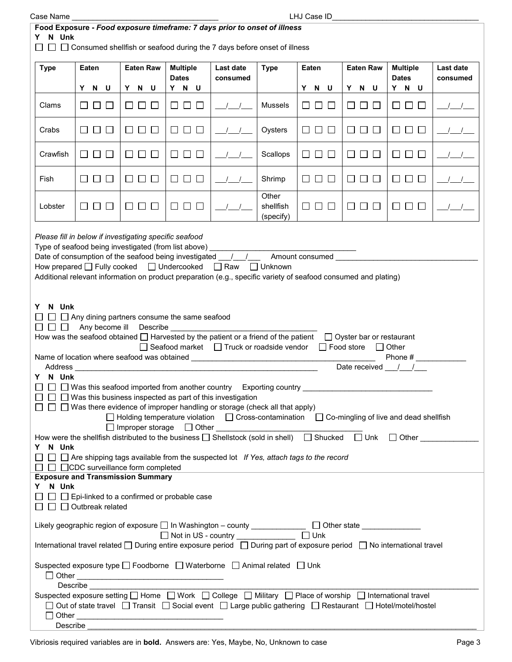| Case Name |
|-----------|
|           |

| Food Exposure - Food exposure timeframe: 7 days prior to onset of illness<br>N Unk<br>$\Box$ Consumed shellfish or seafood during the 7 days before onset of illness                                                                                                                                                                                                                                                                                                                                                                                                                                                                                                                                                                                                                                                                                                                                                                                                                                                                                                                                                                                                                                                                                                                                                    |                                    |                      |                                                                                                                                                                                                                                                                                                                                                                                            |                       |                                 |                      |                                                            |                                 |                       |
|-------------------------------------------------------------------------------------------------------------------------------------------------------------------------------------------------------------------------------------------------------------------------------------------------------------------------------------------------------------------------------------------------------------------------------------------------------------------------------------------------------------------------------------------------------------------------------------------------------------------------------------------------------------------------------------------------------------------------------------------------------------------------------------------------------------------------------------------------------------------------------------------------------------------------------------------------------------------------------------------------------------------------------------------------------------------------------------------------------------------------------------------------------------------------------------------------------------------------------------------------------------------------------------------------------------------------|------------------------------------|----------------------|--------------------------------------------------------------------------------------------------------------------------------------------------------------------------------------------------------------------------------------------------------------------------------------------------------------------------------------------------------------------------------------------|-----------------------|---------------------------------|----------------------|------------------------------------------------------------|---------------------------------|-----------------------|
| <b>Type</b>                                                                                                                                                                                                                                                                                                                                                                                                                                                                                                                                                                                                                                                                                                                                                                                                                                                                                                                                                                                                                                                                                                                                                                                                                                                                                                             | Eaten                              | <b>Eaten Raw</b>     | <b>Multiple</b><br><b>Dates</b>                                                                                                                                                                                                                                                                                                                                                            | Last date<br>consumed | <b>Type</b>                     | Eaten                | <b>Eaten Raw</b>                                           | <b>Multiple</b><br><b>Dates</b> | Last date<br>consumed |
|                                                                                                                                                                                                                                                                                                                                                                                                                                                                                                                                                                                                                                                                                                                                                                                                                                                                                                                                                                                                                                                                                                                                                                                                                                                                                                                         | Y N U                              | Y N U                | Y N U                                                                                                                                                                                                                                                                                                                                                                                      |                       |                                 | Y N U                | Y N U                                                      | Y N U                           |                       |
| Clams                                                                                                                                                                                                                                                                                                                                                                                                                                                                                                                                                                                                                                                                                                                                                                                                                                                                                                                                                                                                                                                                                                                                                                                                                                                                                                                   | பப<br>$\Box$                       | $\Box$ $\Box$ $\Box$ | $\begin{array}{c c c c c c} \hline \rule{0pt}{16pt} & \rule{0pt}{16pt} \rule{0pt}{16pt} & \rule{0pt}{16pt} \rule{0pt}{16pt} & \rule{0pt}{16pt} \rule{0pt}{16pt} & \rule{0pt}{16pt} \rule{0pt}{16pt} & \rule{0pt}{16pt} \rule{0pt}{16pt} & \rule{0pt}{16pt} \rule{0pt}{16pt} & \rule{0pt}{16pt} \rule{0pt}{16pt} & \rule{0pt}{16pt} \rule{0pt}{16pt} & \rule{0pt}{16pt} \rule{0pt}{16pt} &$ |                       | <b>Mussels</b>                  | $\Box$ $\Box$ $\Box$ | $\square$ $\square$<br>$\Box$                              | 88 8 8                          |                       |
| Crabs                                                                                                                                                                                                                                                                                                                                                                                                                                                                                                                                                                                                                                                                                                                                                                                                                                                                                                                                                                                                                                                                                                                                                                                                                                                                                                                   | $\Box$ $\Box$ $\Box$               | $\Box$ $\Box$ $\Box$ | $\Box$ $\Box$ $\Box$                                                                                                                                                                                                                                                                                                                                                                       |                       | Oysters                         | $\Box$ $\Box$ $\Box$ | $\begin{array}{c} \square \ \square \ \square \end{array}$ | □ □ □                           |                       |
| Crawfish                                                                                                                                                                                                                                                                                                                                                                                                                                                                                                                                                                                                                                                                                                                                                                                                                                                                                                                                                                                                                                                                                                                                                                                                                                                                                                                | $\Box$<br>$\Box$<br>$\overline{a}$ | $\Box$ $\Box$ $\Box$ | $\Box$<br>$\Box$ $\Box$                                                                                                                                                                                                                                                                                                                                                                    |                       | Scallops                        | $\Box$ $\Box$ $\Box$ | $\Box$ $\Box$<br>$\Box$                                    | $\Box$ $\Box$ $\Box$            |                       |
| Fish                                                                                                                                                                                                                                                                                                                                                                                                                                                                                                                                                                                                                                                                                                                                                                                                                                                                                                                                                                                                                                                                                                                                                                                                                                                                                                                    | $\Box$ $\Box$ $\Box$               | $\Box$ $\Box$ $\Box$ | $\Box$ $\Box$ $\Box$                                                                                                                                                                                                                                                                                                                                                                       |                       | Shrimp                          | $\Box$ $\Box$ $\Box$ | $\Box$ $\Box$                                              | $\Box$ $\Box$ $\Box$            |                       |
| Lobster                                                                                                                                                                                                                                                                                                                                                                                                                                                                                                                                                                                                                                                                                                                                                                                                                                                                                                                                                                                                                                                                                                                                                                                                                                                                                                                 | $\Box$<br>$\Box$<br>⊔              |                      | $\sqcup$<br>$\Box$<br>$\Box$                                                                                                                                                                                                                                                                                                                                                               |                       | Other<br>shellfish<br>(specify) | $\Box$ $\Box$ $\Box$ | 8888                                                       |                                 |                       |
| How prepared O Fully cooked O Undercooked O Raw O Unknown<br>Additional relevant information on product preparation (e.g., specific variety of seafood consumed and plating)<br>N Unk<br>Y.<br>$\Box$ $\Box$ Any dining partners consume the same seafood<br>$\Box$ $\Box$<br>Any become ill Describe<br>How was the seafood obtained $\Box$ Harvested by the patient or a friend of the patient<br>$\Box$ Oyster bar or restaurant<br>$\Box$ Seafood market $\Box$ Truck or roadside vendor<br>$\Box$ Food store $\Box$ Other<br>Phone #<br>Date received $\frac{1}{\sqrt{2}}$<br>Y N Unk<br>$\Box$ Was this seafood imported from another country Exporting country<br>$\Box~\Box~\Box$ Was this business inspected as part of this investigation<br>$\Box$ Was there evidence of improper handling or storage (check all that apply)<br>$\Box$ Holding temperature violation $\Box$ Cross-contamination $\Box$ Co-mingling of live and dead shellfish<br>How were the shellfish distributed to the business $\Box$ Shellstock (sold in shell) $\Box$ Shucked $\Box$ Unk $\Box$ Other<br>Y N Unk<br>$\Box$ $\Box$ Are shipping tags available from the suspected lot If Yes, attach tags to the record<br>$\Box$ $\Box$ $\Box$ CDC surveillance form completed<br><b>Exposure and Transmission Summary</b><br>Y N Unk |                                    |                      |                                                                                                                                                                                                                                                                                                                                                                                            |                       |                                 |                      |                                                            |                                 |                       |
| $\Box$ $\Box$ Epi-linked to a confirmed or probable case<br>$\Box$ $\Box$ Outbreak related<br>Likely geographic region of exposure □ In Washington – county _______________ □ Other state _____________<br>$\Box$ Unk<br>Not in US - country ______________<br>International travel related □ During entire exposure period □ During part of exposure period □ No international travel                                                                                                                                                                                                                                                                                                                                                                                                                                                                                                                                                                                                                                                                                                                                                                                                                                                                                                                                  |                                    |                      |                                                                                                                                                                                                                                                                                                                                                                                            |                       |                                 |                      |                                                            |                                 |                       |
| Suspected exposure type □ Foodborne □ Waterborne □ Animal related □ Unk<br>Describe <b>Describe</b><br>Suspected exposure setting □ Home □ Work □ College □ Military □ Place of worship □ International travel<br>□ Out of state travel □ Transit □ Social event □ Large public gathering □ Restaurant □ Hotel/motel/hostel                                                                                                                                                                                                                                                                                                                                                                                                                                                                                                                                                                                                                                                                                                                                                                                                                                                                                                                                                                                             |                                    |                      |                                                                                                                                                                                                                                                                                                                                                                                            |                       |                                 |                      |                                                            |                                 |                       |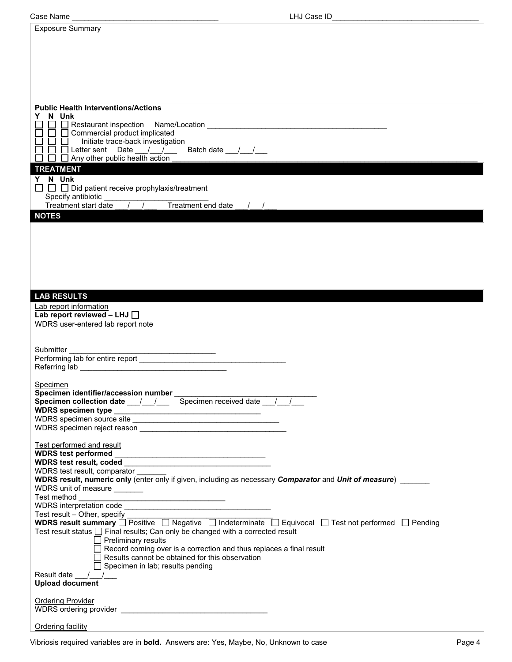| <b>Exposure Summary</b>                                                                                       |  |
|---------------------------------------------------------------------------------------------------------------|--|
|                                                                                                               |  |
|                                                                                                               |  |
|                                                                                                               |  |
|                                                                                                               |  |
|                                                                                                               |  |
|                                                                                                               |  |
| <b>Public Health Interventions/Actions</b>                                                                    |  |
| Y N Unk                                                                                                       |  |
| $\Box$ $\Box$ Commercial product implicated                                                                   |  |
| $\Box$<br>Initiate trace-back investigation                                                                   |  |
|                                                                                                               |  |
| <b>TREATMENT</b>                                                                                              |  |
| Y N Unk                                                                                                       |  |
| $\Box$ $\Box$ Did patient receive prophylaxis/treatment                                                       |  |
|                                                                                                               |  |
| <b>NOTES</b>                                                                                                  |  |
|                                                                                                               |  |
|                                                                                                               |  |
|                                                                                                               |  |
|                                                                                                               |  |
|                                                                                                               |  |
|                                                                                                               |  |
| <b>LAB RESULTS</b>                                                                                            |  |
| Lab report information                                                                                        |  |
| Lab report reviewed - LHJ $\Box$<br>WDRS user-entered lab report note                                         |  |
|                                                                                                               |  |
|                                                                                                               |  |
| Submitter                                                                                                     |  |
|                                                                                                               |  |
|                                                                                                               |  |
| Specimen                                                                                                      |  |
|                                                                                                               |  |
|                                                                                                               |  |
|                                                                                                               |  |
|                                                                                                               |  |
| Test performed and result                                                                                     |  |
|                                                                                                               |  |
| WDRS test result, comparator                                                                                  |  |
| WDRS result, numeric only (enter only if given, including as necessary Comparator and Unit of measure)        |  |
| WDRS unit of measure _______                                                                                  |  |
|                                                                                                               |  |
| Test result - Other, specify                                                                                  |  |
| WDRS result summary O Positive O Negative O Indeterminate O Equivocal O Test not performed O Pending          |  |
| Test result status □ Final results; Can only be changed with a corrected result<br>$\Box$ Preliminary results |  |
| $\Box$ Record coming over is a correction and thus replaces a final result                                    |  |
| $\Box$ Results cannot be obtained for this observation                                                        |  |
| $\Box$ Specimen in lab; results pending<br>Result date $\frac{1}{\sqrt{1-\frac{1}{2}}}$                       |  |
| <b>Upload document</b>                                                                                        |  |
|                                                                                                               |  |
| <b>Ordering Provider</b>                                                                                      |  |
|                                                                                                               |  |
| Ordering facility                                                                                             |  |